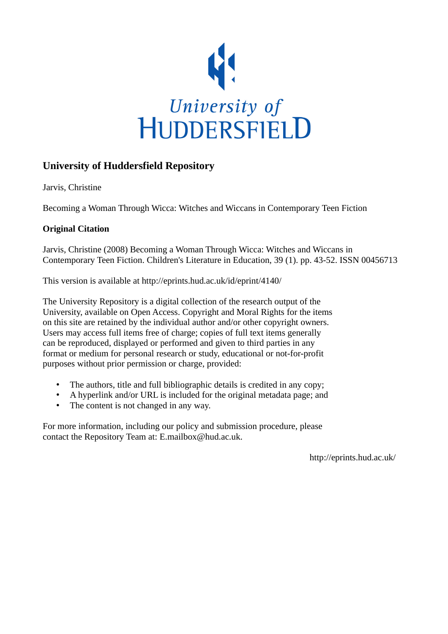

## **University of Huddersfield Repository**

Jarvis, Christine

Becoming a Woman Through Wicca: Witches and Wiccans in Contemporary Teen Fiction

### **Original Citation**

Jarvis, Christine (2008) Becoming a Woman Through Wicca: Witches and Wiccans in Contemporary Teen Fiction. Children's Literature in Education, 39 (1). pp. 43-52. ISSN 00456713

This version is available at http://eprints.hud.ac.uk/id/eprint/4140/

The University Repository is a digital collection of the research output of the University, available on Open Access. Copyright and Moral Rights for the items on this site are retained by the individual author and/or other copyright owners. Users may access full items free of charge; copies of full text items generally can be reproduced, displayed or performed and given to third parties in any format or medium for personal research or study, educational or not-for-profit purposes without prior permission or charge, provided:

- The authors, title and full bibliographic details is credited in any copy;
- A hyperlink and/or URL is included for the original metadata page; and
- The content is not changed in any way.

For more information, including our policy and submission procedure, please contact the Repository Team at: E.mailbox@hud.ac.uk.

http://eprints.hud.ac.uk/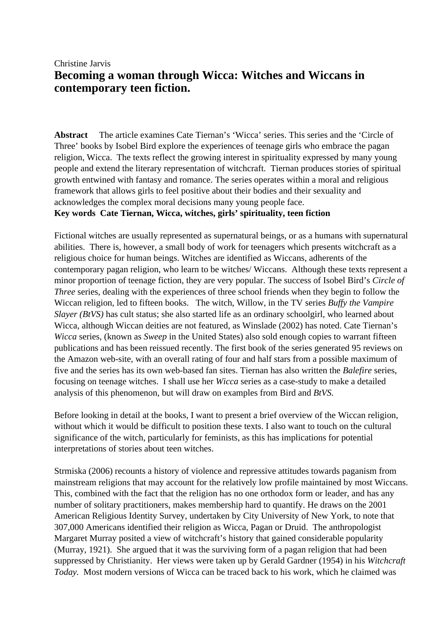# Christine Jarvis **Becoming a woman through Wicca: Witches and Wiccans in contemporary teen fiction.**

**Abstract** The article examines Cate Tiernan's 'Wicca' series. This series and the 'Circle of Three' books by Isobel Bird explore the experiences of teenage girls who embrace the pagan religion, Wicca. The texts reflect the growing interest in spirituality expressed by many young people and extend the literary representation of witchcraft. Tiernan produces stories of spiritual growth entwined with fantasy and romance. The series operates within a moral and religious framework that allows girls to feel positive about their bodies and their sexuality and acknowledges the complex moral decisions many young people face. **Key words Cate Tiernan, Wicca, witches, girls' spirituality, teen fiction**

Fictional witches are usually represented as supernatural beings, or as a humans with supernatural abilities. There is, however, a small body of work for teenagers which presents witchcraft as a religious choice for human beings. Witches are identified as Wiccans, adherents of the contemporary pagan religion, who learn to be witches/ Wiccans. Although these texts represent a minor proportion of teenage fiction, they are very popular. The success of Isobel Bird's *Circle of Three* series, dealing with the experiences of three school friends when they begin to follow the Wiccan religion, led to fifteen books. The witch, Willow, in the TV series *Buffy the Vampire Slayer (BtVS)* has cult status; she also started life as an ordinary schoolgirl, who learned about Wicca, although Wiccan deities are not featured, as Winslade (2002) has noted. Cate Tiernan's *Wicca* series, (known as *Sweep* in the United States) also sold enough copies to warrant fifteen publications and has been reissued recently. The first book of the series generated 95 reviews on the Amazon web-site, with an overall rating of four and half stars from a possible maximum of five and the series has its own web-based fan sites. Tiernan has also written the *Balefire* series, focusing on teenage witches. I shall use her *Wicca* series as a case-study to make a detailed analysis of this phenomenon, but will draw on examples from Bird and *BtVS.*

Before looking in detail at the books, I want to present a brief overview of the Wiccan religion, without which it would be difficult to position these texts. I also want to touch on the cultural significance of the witch, particularly for feminists, as this has implications for potential interpretations of stories about teen witches.

Strmiska (2006) recounts a history of violence and repressive attitudes towards paganism from mainstream religions that may account for the relatively low profile maintained by most Wiccans. This, combined with the fact that the religion has no one orthodox form or leader, and has any number of solitary practitioners, makes membership hard to quantify. He draws on the 2001 American Religious Identity Survey, undertaken by City University of New York, to note that 307,000 Americans identified their religion as Wicca, Pagan or Druid. The anthropologist Margaret Murray posited a view of witchcraft's history that gained considerable popularity (Murray, 1921). She argued that it was the surviving form of a pagan religion that had been suppressed by Christianity. Her views were taken up by Gerald Gardner (1954) in his *Witchcraft Today.* Most modern versions of Wicca can be traced back to his work, which he claimed was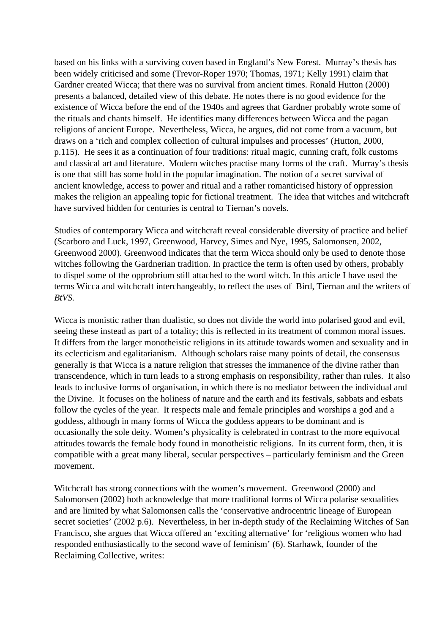based on his links with a surviving coven based in England's New Forest. Murray's thesis has been widely criticised and some (Trevor-Roper 1970; Thomas, 1971; Kelly 1991) claim that Gardner created Wicca; that there was no survival from ancient times. Ronald Hutton (2000) presents a balanced, detailed view of this debate. He notes there is no good evidence for the existence of Wicca before the end of the 1940s and agrees that Gardner probably wrote some of the rituals and chants himself. He identifies many differences between Wicca and the pagan religions of ancient Europe. Nevertheless, Wicca, he argues, did not come from a vacuum, but draws on a 'rich and complex collection of cultural impulses and processes' (Hutton, 2000, p.115). He sees it as a continuation of four traditions: ritual magic, cunning craft, folk customs and classical art and literature. Modern witches practise many forms of the craft. Murray's thesis is one that still has some hold in the popular imagination. The notion of a secret survival of ancient knowledge, access to power and ritual and a rather romanticised history of oppression makes the religion an appealing topic for fictional treatment. The idea that witches and witchcraft have survived hidden for centuries is central to Tiernan's novels.

Studies of contemporary Wicca and witchcraft reveal considerable diversity of practice and belief (Scarboro and Luck, 1997, Greenwood, Harvey, Simes and Nye, 1995, Salomonsen, 2002, Greenwood 2000). Greenwood indicates that the term Wicca should only be used to denote those witches following the Gardnerian tradition. In practice the term is often used by others, probably to dispel some of the opprobrium still attached to the word witch. In this article I have used the terms Wicca and witchcraft interchangeably, to reflect the uses of Bird, Tiernan and the writers of *BtVS.*

Wicca is monistic rather than dualistic, so does not divide the world into polarised good and evil, seeing these instead as part of a totality; this is reflected in its treatment of common moral issues. It differs from the larger monotheistic religions in its attitude towards women and sexuality and in its eclecticism and egalitarianism. Although scholars raise many points of detail, the consensus generally is that Wicca is a nature religion that stresses the immanence of the divine rather than transcendence, which in turn leads to a strong emphasis on responsibility, rather than rules. It also leads to inclusive forms of organisation, in which there is no mediator between the individual and the Divine. It focuses on the holiness of nature and the earth and its festivals, sabbats and esbats follow the cycles of the year. It respects male and female principles and worships a god and a goddess, although in many forms of Wicca the goddess appears to be dominant and is occasionally the sole deity. Women's physicality is celebrated in contrast to the more equivocal attitudes towards the female body found in monotheistic religions. In its current form, then, it is compatible with a great many liberal, secular perspectives – particularly feminism and the Green movement.

Witchcraft has strong connections with the women's movement. Greenwood (2000) and Salomonsen (2002) both acknowledge that more traditional forms of Wicca polarise sexualities and are limited by what Salomonsen calls the 'conservative androcentric lineage of European secret societies' (2002 p.6). Nevertheless, in her in-depth study of the Reclaiming Witches of San Francisco, she argues that Wicca offered an 'exciting alternative' for 'religious women who had responded enthusiastically to the second wave of feminism' (6). Starhawk, founder of the Reclaiming Collective, writes: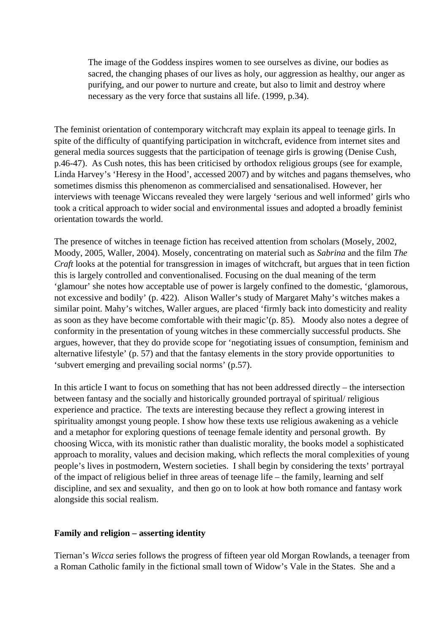The image of the Goddess inspires women to see ourselves as divine, our bodies as sacred, the changing phases of our lives as holy, our aggression as healthy, our anger as purifying, and our power to nurture and create, but also to limit and destroy where necessary as the very force that sustains all life. (1999, p.34).

The feminist orientation of contemporary witchcraft may explain its appeal to teenage girls. In spite of the difficulty of quantifying participation in witchcraft, evidence from internet sites and general media sources suggests that the participation of teenage girls is growing (Denise Cush, p.46-47). As Cush notes, this has been criticised by orthodox religious groups (see for example, Linda Harvey's 'Heresy in the Hood', accessed 2007) and by witches and pagans themselves, who sometimes dismiss this phenomenon as commercialised and sensationalised. However, her interviews with teenage Wiccans revealed they were largely 'serious and well informed' girls who took a critical approach to wider social and environmental issues and adopted a broadly feminist orientation towards the world.

The presence of witches in teenage fiction has received attention from scholars (Mosely, 2002, Moody, 2005, Waller, 2004). Mosely, concentrating on material such as *Sabrina* and the film *The Craft* looks at the potential for transgression in images of witchcraft, but argues that in teen fiction this is largely controlled and conventionalised. Focusing on the dual meaning of the term 'glamour' she notes how acceptable use of power is largely confined to the domestic, 'glamorous, not excessive and bodily' (p. 422). Alison Waller's study of Margaret Mahy's witches makes a similar point. Mahy's witches, Waller argues, are placed 'firmly back into domesticity and reality as soon as they have become comfortable with their magic'(p. 85). Moody also notes a degree of conformity in the presentation of young witches in these commercially successful products. She argues, however, that they do provide scope for 'negotiating issues of consumption, feminism and alternative lifestyle' (p. 57) and that the fantasy elements in the story provide opportunities to 'subvert emerging and prevailing social norms' (p.57).

In this article I want to focus on something that has not been addressed directly – the intersection between fantasy and the socially and historically grounded portrayal of spiritual/ religious experience and practice. The texts are interesting because they reflect a growing interest in spirituality amongst young people. I show how these texts use religious awakening as a vehicle and a metaphor for exploring questions of teenage female identity and personal growth. By choosing Wicca, with its monistic rather than dualistic morality, the books model a sophisticated approach to morality, values and decision making, which reflects the moral complexities of young people's lives in postmodern, Western societies. I shall begin by considering the texts' portrayal of the impact of religious belief in three areas of teenage life – the family, learning and self discipline, and sex and sexuality, and then go on to look at how both romance and fantasy work alongside this social realism.

#### **Family and religion – asserting identity**

Tiernan's *Wicca* series follows the progress of fifteen year old Morgan Rowlands, a teenager from a Roman Catholic family in the fictional small town of Widow's Vale in the States. She and a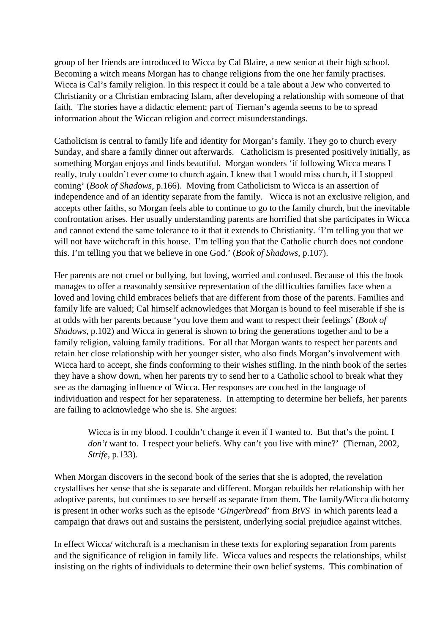group of her friends are introduced to Wicca by Cal Blaire, a new senior at their high school. Becoming a witch means Morgan has to change religions from the one her family practises. Wicca is Cal's family religion. In this respect it could be a tale about a Jew who converted to Christianity or a Christian embracing Islam, after developing a relationship with someone of that faith. The stories have a didactic element; part of Tiernan's agenda seems to be to spread information about the Wiccan religion and correct misunderstandings.

Catholicism is central to family life and identity for Morgan's family. They go to church every Sunday, and share a family dinner out afterwards. Catholicism is presented positively initially, as something Morgan enjoys and finds beautiful. Morgan wonders 'if following Wicca means I really, truly couldn't ever come to church again. I knew that I would miss church, if I stopped coming' (*Book of Shadows*, p.166). Moving from Catholicism to Wicca is an assertion of independence and of an identity separate from the family. Wicca is not an exclusive religion, and accepts other faiths, so Morgan feels able to continue to go to the family church, but the inevitable confrontation arises. Her usually understanding parents are horrified that she participates in Wicca and cannot extend the same tolerance to it that it extends to Christianity. 'I'm telling you that we will not have witchcraft in this house. I'm telling you that the Catholic church does not condone this. I'm telling you that we believe in one God.' (*Book of Shadows*, p.107).

Her parents are not cruel or bullying, but loving, worried and confused. Because of this the book manages to offer a reasonably sensitive representation of the difficulties families face when a loved and loving child embraces beliefs that are different from those of the parents. Families and family life are valued; Cal himself acknowledges that Morgan is bound to feel miserable if she is at odds with her parents because 'you love them and want to respect their feelings' (*Book of Shadows, p.102*) and Wicca in general is shown to bring the generations together and to be a family religion, valuing family traditions. For all that Morgan wants to respect her parents and retain her close relationship with her younger sister, who also finds Morgan's involvement with Wicca hard to accept, she finds conforming to their wishes stifling. In the ninth book of the series they have a show down, when her parents try to send her to a Catholic school to break what they see as the damaging influence of Wicca. Her responses are couched in the language of individuation and respect for her separateness. In attempting to determine her beliefs, her parents are failing to acknowledge who she is. She argues:

Wicca is in my blood. I couldn't change it even if I wanted to. But that's the point. I *don't* want to. I respect your beliefs. Why can't you live with mine?' (Tiernan, 2002, *Strife,* p.133).

When Morgan discovers in the second book of the series that she is adopted, the revelation crystallises her sense that she is separate and different. Morgan rebuilds her relationship with her adoptive parents, but continues to see herself as separate from them. The family/Wicca dichotomy is present in other works such as the episode '*Gingerbread*' from *BtVS* in which parents lead a campaign that draws out and sustains the persistent, underlying social prejudice against witches.

In effect Wicca/ witchcraft is a mechanism in these texts for exploring separation from parents and the significance of religion in family life. Wicca values and respects the relationships, whilst insisting on the rights of individuals to determine their own belief systems. This combination of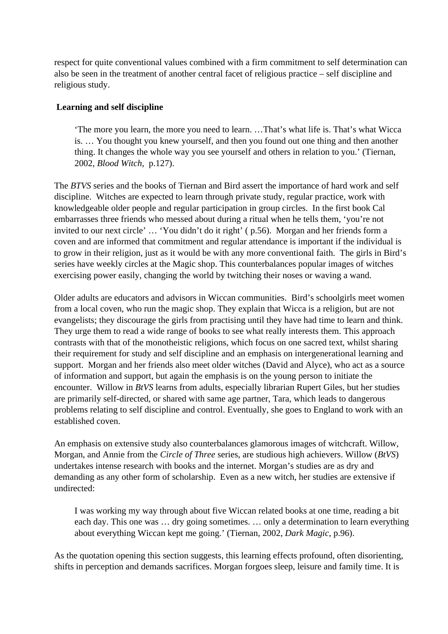respect for quite conventional values combined with a firm commitment to self determination can also be seen in the treatment of another central facet of religious practice – self discipline and religious study.

### **Learning and self discipline**

'The more you learn, the more you need to learn. …That's what life is. That's what Wicca is. … You thought you knew yourself, and then you found out one thing and then another thing. It changes the whole way you see yourself and others in relation to you.' (Tiernan, 2002, *Blood Witch*, p.127).

The *BTVS* series and the books of Tiernan and Bird assert the importance of hard work and self discipline. Witches are expected to learn through private study, regular practice, work with knowledgeable older people and regular participation in group circles. In the first book Cal embarrasses three friends who messed about during a ritual when he tells them, 'you're not invited to our next circle' … 'You didn't do it right' ( p.56). Morgan and her friends form a coven and are informed that commitment and regular attendance is important if the individual is to grow in their religion, just as it would be with any more conventional faith. The girls in Bird's series have weekly circles at the Magic shop. This counterbalances popular images of witches exercising power easily, changing the world by twitching their noses or waving a wand.

Older adults are educators and advisors in Wiccan communities. Bird's schoolgirls meet women from a local coven, who run the magic shop. They explain that Wicca is a religion, but are not evangelists; they discourage the girls from practising until they have had time to learn and think. They urge them to read a wide range of books to see what really interests them. This approach contrasts with that of the monotheistic religions, which focus on one sacred text, whilst sharing their requirement for study and self discipline and an emphasis on intergenerational learning and support. Morgan and her friends also meet older witches (David and Alyce), who act as a source of information and support, but again the emphasis is on the young person to initiate the encounter. Willow in *BtVS* learns from adults, especially librarian Rupert Giles, but her studies are primarily self-directed, or shared with same age partner, Tara, which leads to dangerous problems relating to self discipline and control. Eventually, she goes to England to work with an established coven.

An emphasis on extensive study also counterbalances glamorous images of witchcraft. Willow, Morgan, and Annie from the *Circle of Three* series, are studious high achievers. Willow (*BtVS*) undertakes intense research with books and the internet. Morgan's studies are as dry and demanding as any other form of scholarship. Even as a new witch, her studies are extensive if undirected:

I was working my way through about five Wiccan related books at one time, reading a bit each day. This one was … dry going sometimes. … only a determination to learn everything about everything Wiccan kept me going.' (Tiernan, 2002, *Dark Magic*, p.96).

As the quotation opening this section suggests, this learning effects profound, often disorienting, shifts in perception and demands sacrifices. Morgan forgoes sleep, leisure and family time. It is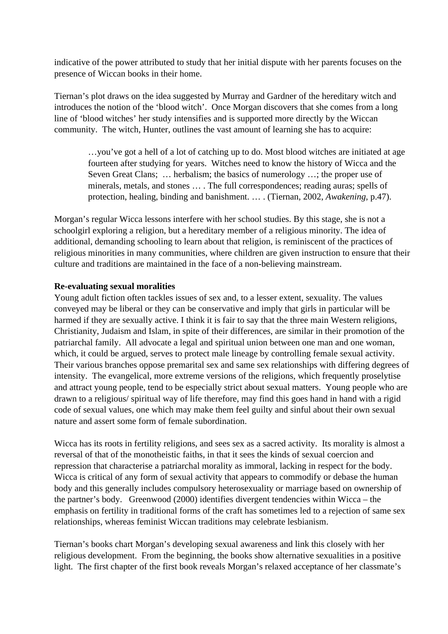indicative of the power attributed to study that her initial dispute with her parents focuses on the presence of Wiccan books in their home.

Tiernan's plot draws on the idea suggested by Murray and Gardner of the hereditary witch and introduces the notion of the 'blood witch'. Once Morgan discovers that she comes from a long line of 'blood witches' her study intensifies and is supported more directly by the Wiccan community. The witch, Hunter, outlines the vast amount of learning she has to acquire:

…you've got a hell of a lot of catching up to do. Most blood witches are initiated at age fourteen after studying for years. Witches need to know the history of Wicca and the Seven Great Clans; … herbalism; the basics of numerology …; the proper use of minerals, metals, and stones … . The full correspondences; reading auras; spells of protection, healing, binding and banishment. … . (Tiernan, 2002, *Awakening*, p.47).

Morgan's regular Wicca lessons interfere with her school studies. By this stage, she is not a schoolgirl exploring a religion, but a hereditary member of a religious minority. The idea of additional, demanding schooling to learn about that religion, is reminiscent of the practices of religious minorities in many communities, where children are given instruction to ensure that their culture and traditions are maintained in the face of a non-believing mainstream.

#### **Re-evaluating sexual moralities**

Young adult fiction often tackles issues of sex and, to a lesser extent, sexuality. The values conveyed may be liberal or they can be conservative and imply that girls in particular will be harmed if they are sexually active. I think it is fair to say that the three main Western religions, Christianity, Judaism and Islam, in spite of their differences, are similar in their promotion of the patriarchal family. All advocate a legal and spiritual union between one man and one woman, which, it could be argued, serves to protect male lineage by controlling female sexual activity. Their various branches oppose premarital sex and same sex relationships with differing degrees of intensity. The evangelical, more extreme versions of the religions, which frequently proselytise and attract young people, tend to be especially strict about sexual matters. Young people who are drawn to a religious/ spiritual way of life therefore, may find this goes hand in hand with a rigid code of sexual values, one which may make them feel guilty and sinful about their own sexual nature and assert some form of female subordination.

Wicca has its roots in fertility religions, and sees sex as a sacred activity. Its morality is almost a reversal of that of the monotheistic faiths, in that it sees the kinds of sexual coercion and repression that characterise a patriarchal morality as immoral, lacking in respect for the body. Wicca is critical of any form of sexual activity that appears to commodify or debase the human body and this generally includes compulsory heterosexuality or marriage based on ownership of the partner's body. Greenwood (2000) identifies divergent tendencies within Wicca – the emphasis on fertility in traditional forms of the craft has sometimes led to a rejection of same sex relationships, whereas feminist Wiccan traditions may celebrate lesbianism.

Tiernan's books chart Morgan's developing sexual awareness and link this closely with her religious development. From the beginning, the books show alternative sexualities in a positive light. The first chapter of the first book reveals Morgan's relaxed acceptance of her classmate's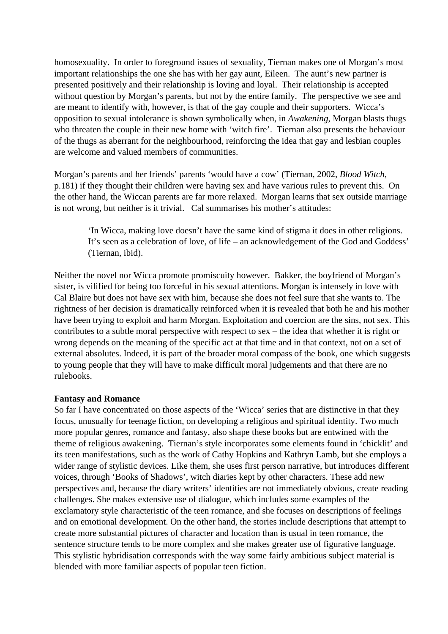homosexuality. In order to foreground issues of sexuality, Tiernan makes one of Morgan's most important relationships the one she has with her gay aunt, Eileen. The aunt's new partner is presented positively and their relationship is loving and loyal. Their relationship is accepted without question by Morgan's parents, but not by the entire family. The perspective we see and are meant to identify with, however, is that of the gay couple and their supporters. Wicca's opposition to sexual intolerance is shown symbolically when, in *Awakening*, Morgan blasts thugs who threaten the couple in their new home with 'witch fire'. Tiernan also presents the behaviour of the thugs as aberrant for the neighbourhood, reinforcing the idea that gay and lesbian couples are welcome and valued members of communities.

Morgan's parents and her friends' parents 'would have a cow' (Tiernan, 2002, *Blood Witch*, p.181) if they thought their children were having sex and have various rules to prevent this. On the other hand, the Wiccan parents are far more relaxed. Morgan learns that sex outside marriage is not wrong, but neither is it trivial. Cal summarises his mother's attitudes:

'In Wicca, making love doesn't have the same kind of stigma it does in other religions. It's seen as a celebration of love, of life – an acknowledgement of the God and Goddess' (Tiernan, ibid).

Neither the novel nor Wicca promote promiscuity however. Bakker, the boyfriend of Morgan's sister, is vilified for being too forceful in his sexual attentions. Morgan is intensely in love with Cal Blaire but does not have sex with him, because she does not feel sure that she wants to. The rightness of her decision is dramatically reinforced when it is revealed that both he and his mother have been trying to exploit and harm Morgan. Exploitation and coercion are the sins, not sex. This contributes to a subtle moral perspective with respect to sex – the idea that whether it is right or wrong depends on the meaning of the specific act at that time and in that context, not on a set of external absolutes. Indeed, it is part of the broader moral compass of the book, one which suggests to young people that they will have to make difficult moral judgements and that there are no rulebooks.

#### **Fantasy and Romance**

So far I have concentrated on those aspects of the 'Wicca' series that are distinctive in that they focus, unusually for teenage fiction, on developing a religious and spiritual identity. Two much more popular genres, romance and fantasy, also shape these books but are entwined with the theme of religious awakening. Tiernan's style incorporates some elements found in 'chicklit' and its teen manifestations, such as the work of Cathy Hopkins and Kathryn Lamb, but she employs a wider range of stylistic devices. Like them, she uses first person narrative, but introduces different voices, through 'Books of Shadows', witch diaries kept by other characters. These add new perspectives and, because the diary writers' identities are not immediately obvious, create reading challenges. She makes extensive use of dialogue, which includes some examples of the exclamatory style characteristic of the teen romance, and she focuses on descriptions of feelings and on emotional development. On the other hand, the stories include descriptions that attempt to create more substantial pictures of character and location than is usual in teen romance, the sentence structure tends to be more complex and she makes greater use of figurative language. This stylistic hybridisation corresponds with the way some fairly ambitious subject material is blended with more familiar aspects of popular teen fiction.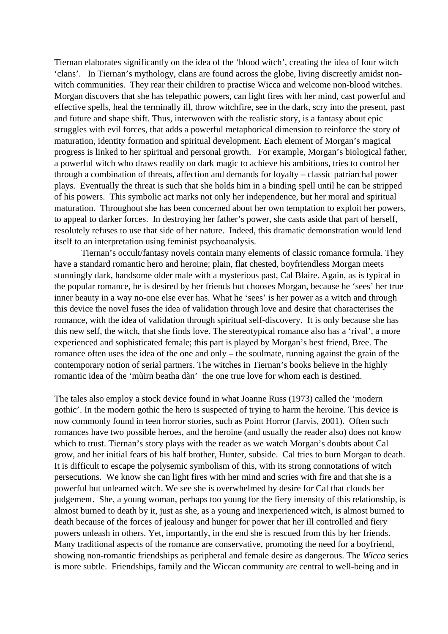Tiernan elaborates significantly on the idea of the 'blood witch', creating the idea of four witch 'clans'. In Tiernan's mythology, clans are found across the globe, living discreetly amidst nonwitch communities. They rear their children to practise Wicca and welcome non-blood witches. Morgan discovers that she has telepathic powers, can light fires with her mind, cast powerful and effective spells, heal the terminally ill, throw witchfire, see in the dark, scry into the present, past and future and shape shift. Thus, interwoven with the realistic story, is a fantasy about epic struggles with evil forces, that adds a powerful metaphorical dimension to reinforce the story of maturation, identity formation and spiritual development. Each element of Morgan's magical progress is linked to her spiritual and personal growth. For example, Morgan's biological father, a powerful witch who draws readily on dark magic to achieve his ambitions, tries to control her through a combination of threats, affection and demands for loyalty – classic patriarchal power plays. Eventually the threat is such that she holds him in a binding spell until he can be stripped of his powers. This symbolic act marks not only her independence, but her moral and spiritual maturation. Throughout she has been concerned about her own temptation to exploit her powers, to appeal to darker forces. In destroying her father's power, she casts aside that part of herself, resolutely refuses to use that side of her nature. Indeed, this dramatic demonstration would lend itself to an interpretation using feminist psychoanalysis.

 Tiernan's occult/fantasy novels contain many elements of classic romance formula. They have a standard romantic hero and heroine; plain, flat chested, boyfriendless Morgan meets stunningly dark, handsome older male with a mysterious past, Cal Blaire. Again, as is typical in the popular romance, he is desired by her friends but chooses Morgan, because he 'sees' her true inner beauty in a way no-one else ever has. What he 'sees' is her power as a witch and through this device the novel fuses the idea of validation through love and desire that characterises the romance, with the idea of validation through spiritual self-discovery. It is only because she has this new self, the witch, that she finds love. The stereotypical romance also has a 'rival', a more experienced and sophisticated female; this part is played by Morgan's best friend, Bree. The romance often uses the idea of the one and only – the soulmate, running against the grain of the contemporary notion of serial partners. The witches in Tiernan's books believe in the highly romantic idea of the 'mùirn beatha dàn' the one true love for whom each is destined.

The tales also employ a stock device found in what Joanne Russ (1973) called the 'modern gothic'. In the modern gothic the hero is suspected of trying to harm the heroine. This device is now commonly found in teen horror stories, such as Point Horror (Jarvis, 2001). Often such romances have two possible heroes, and the heroine (and usually the reader also) does not know which to trust. Tiernan's story plays with the reader as we watch Morgan's doubts about Cal grow, and her initial fears of his half brother, Hunter, subside. Cal tries to burn Morgan to death. It is difficult to escape the polysemic symbolism of this, with its strong connotations of witch persecutions. We know she can light fires with her mind and scries with fire and that she is a powerful but unlearned witch. We see she is overwhelmed by desire for Cal that clouds her judgement. She, a young woman, perhaps too young for the fiery intensity of this relationship, is almost burned to death by it, just as she, as a young and inexperienced witch, is almost burned to death because of the forces of jealousy and hunger for power that her ill controlled and fiery powers unleash in others. Yet, importantly, in the end she is rescued from this by her friends. Many traditional aspects of the romance are conservative, promoting the need for a boyfriend, showing non-romantic friendships as peripheral and female desire as dangerous. The *Wicca* series is more subtle. Friendships, family and the Wiccan community are central to well-being and in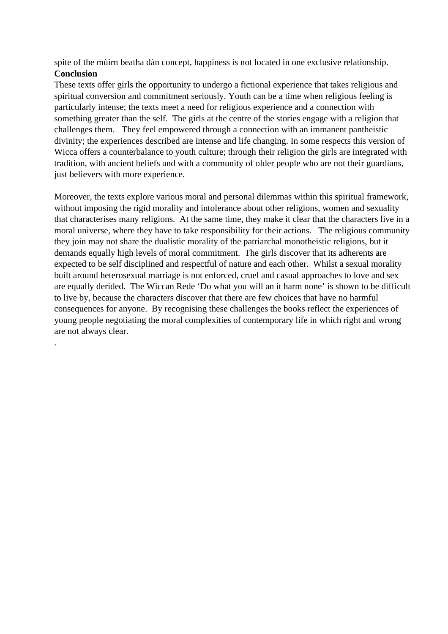spite of the mùirn beatha dàn concept, happiness is not located in one exclusive relationship. **Conclusion**

These texts offer girls the opportunity to undergo a fictional experience that takes religious and spiritual conversion and commitment seriously. Youth can be a time when religious feeling is particularly intense; the texts meet a need for religious experience and a connection with something greater than the self. The girls at the centre of the stories engage with a religion that challenges them. They feel empowered through a connection with an immanent pantheistic divinity; the experiences described are intense and life changing. In some respects this version of Wicca offers a counterbalance to youth culture; through their religion the girls are integrated with tradition, with ancient beliefs and with a community of older people who are not their guardians, just believers with more experience.

Moreover, the texts explore various moral and personal dilemmas within this spiritual framework, without imposing the rigid morality and intolerance about other religions, women and sexuality that characterises many religions. At the same time, they make it clear that the characters live in a moral universe, where they have to take responsibility for their actions. The religious community they join may not share the dualistic morality of the patriarchal monotheistic religions, but it demands equally high levels of moral commitment. The girls discover that its adherents are expected to be self disciplined and respectful of nature and each other. Whilst a sexual morality built around heterosexual marriage is not enforced, cruel and casual approaches to love and sex are equally derided. The Wiccan Rede 'Do what you will an it harm none' is shown to be difficult to live by, because the characters discover that there are few choices that have no harmful consequences for anyone. By recognising these challenges the books reflect the experiences of young people negotiating the moral complexities of contemporary life in which right and wrong are not always clear.

.